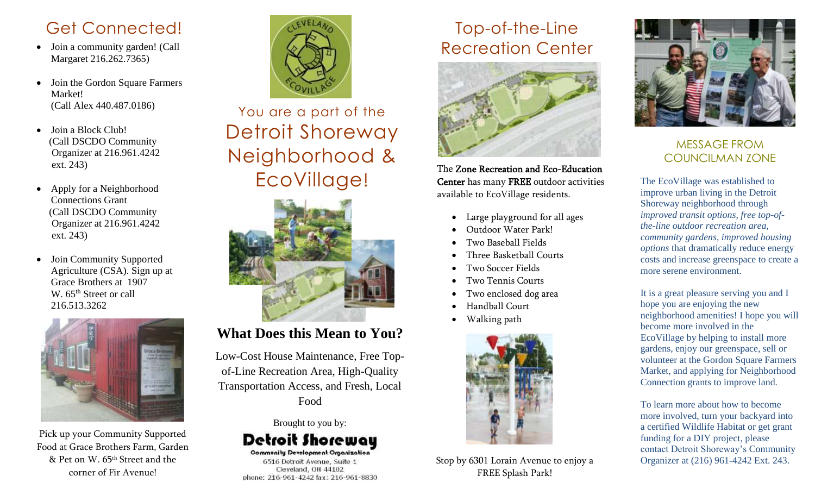### Get Connected!

- Join a community garden! (Call Margaret 216.262.7365)
- Join the Gordon Square Farmers Market! (Call Alex 440.487.0186)
- Join a Block Club! (Call DSCDO Community Organizer at 216.961.4242 ext. 243)
- Apply for a Neighborhood Connections Grant (Call DSCDO Community Organizer at 216.961.4242 ext. 243)
- Join Community Supported Agriculture (CSA). Sign up at Grace Brothers at 1907 W. 65<sup>th</sup> Street or call 216.513.3262



Pick up your Community Supported Food at Grace Brothers Farm, Garden & Pet on W. 65th Street and the corner of Fir Avenue!



# You are a part of the Detroit Shoreway Neighborhood & EcoVillage!



### **What Does this Mean to You?**

Low-Cost House Maintenance, Free Topof-Line Recreation Area, High-Quality Transportation Access, and Fresh, Local Food

Brought to you by:

## Detroit Shorewau

**Community Development Organization** 6516 Detroit Avenue, Suite 1 Cleveland, OH 44102 phone: 216-961-4242 fax: 216-961-8830

### Top-of-the-Line Recreation Center



The Zone Recreation and Eco-Education Center has many FREE outdoor activities available to EcoVillage residents.

- Large playground for all ages
- Outdoor Water Park!
- Two Baseball Fields
- Three Basketball Courts
- Two Soccer Fields
- Two Tennis Courts
- Two enclosed dog area
- Handball Court
- Walking path



Stop by 6301 Lorain Avenue to enjoy a FREE Splash Park!



#### MESSAGE FROM COUNCILMAN ZONE

The EcoVillage was established to improve urban living in the Detroit Shoreway neighborhood through *improved transit options, free top-ofthe-line outdoor recreation area, community gardens, improved housing options* that dramatically reduce energy costs and increase greenspace to create a more serene environment.

It is a great pleasure serving you and I hope you are enjoying the new neighborhood amenities! I hope you will become more involved in the EcoVillage by helping to install more gardens, enjoy our greenspace, sell or volunteer at the Gordon Square Farmers Market, and applying for Neighborhood Connection grants to improve land.

To learn more about how to become more involved, turn your backyard into a certified Wildlife Habitat or get grant funding for a DIY project, please contact Detroit Shoreway's Community Organizer at (216) 961-4242 Ext. 243.